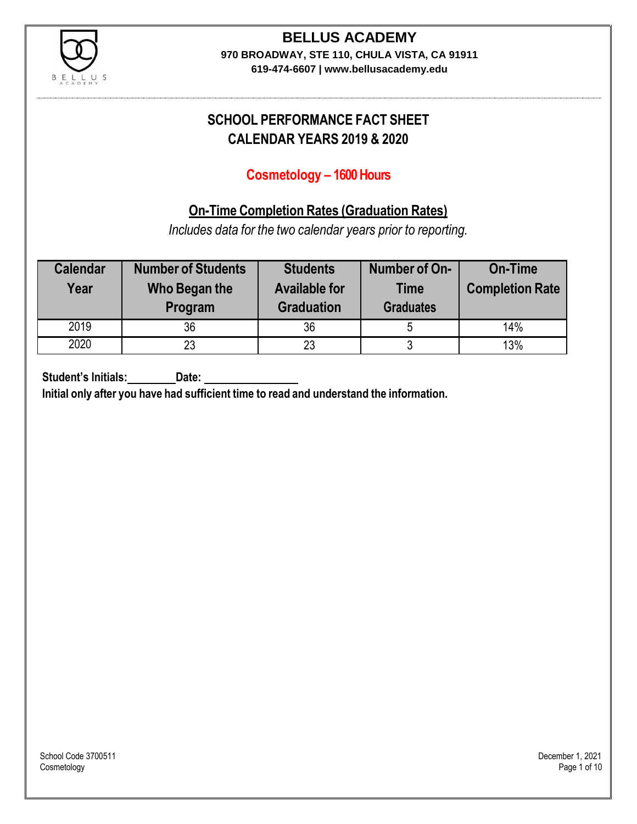

# **BELLUS ACADEMY**

**970 BROADWAY, STE 110, CHULA VISTA, CA 91911**

**619-474-6607 | www.bellusacademy.edu**

## **SCHOOL PERFORMANCE FACT SHEET CALENDAR YEARS 2019 & 2020**

## **Cosmetology – 1600 Hours**

## **On-Time Completion Rates (Graduation Rates)**

*Includes data for the two calendar years prior to reporting.*

| <b>Calendar</b><br>Year | <b>Number of Students</b><br>Who Began the<br>Program | <b>Students</b><br><b>Available for</b><br><b>Graduation</b> | Number of On-<br><b>Time</b><br><b>Graduates</b> | <b>On-Time</b><br><b>Completion Rate</b> |
|-------------------------|-------------------------------------------------------|--------------------------------------------------------------|--------------------------------------------------|------------------------------------------|
| 2019                    | 36                                                    | 36                                                           |                                                  | 14%                                      |
| 2020                    | 23                                                    | 23                                                           | u                                                | 13%                                      |

**Student's Initials: Date:**

**Initial only after you have had sufficient time to read and understand the information.**

School Code 3700511 December 1, 2021<br>Cosmetology December 1, 2021 Cosmetology Page 1 of 10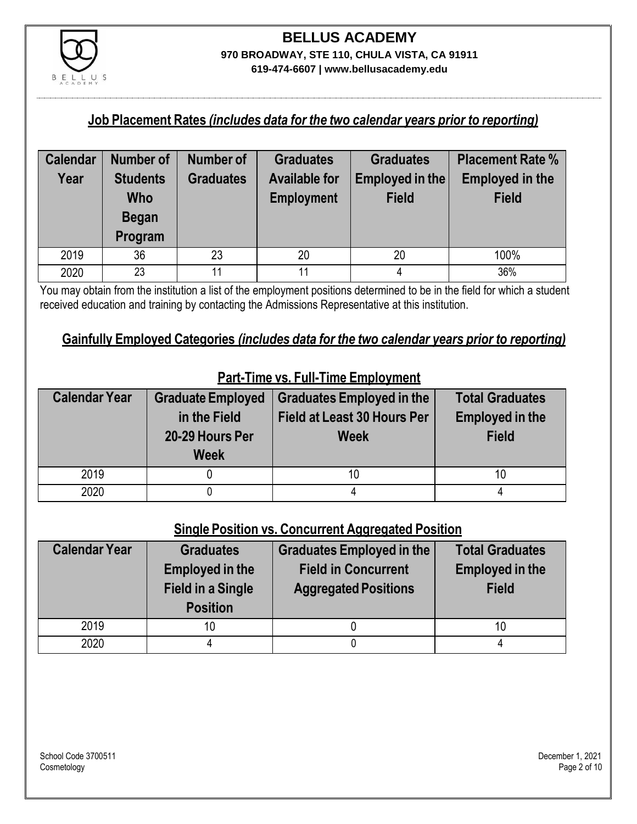

#### **Job Placement Rates** *(includes data for the two calendar years prior to reporting)*

| <b>Calendar</b> | <b>Number of</b> | <b>Number of</b> | <b>Graduates</b>     | <b>Graduates</b> | <b>Placement Rate %</b> |
|-----------------|------------------|------------------|----------------------|------------------|-------------------------|
| Year            | <b>Students</b>  | <b>Graduates</b> | <b>Available for</b> | Employed in the  | <b>Employed in the</b>  |
|                 | Who              |                  | <b>Employment</b>    | <b>Field</b>     | <b>Field</b>            |
|                 | <b>Began</b>     |                  |                      |                  |                         |
|                 | Program          |                  |                      |                  |                         |
| 2019            | 36               | 23               | 20                   | 20               | 100%                    |
| 2020            | 23               | 11               | 11                   |                  | 36%                     |

You may obtain from the institution a list of the employment positions determined to be in the field for which a student received education and training by contacting the Admissions Representative at this institution.

#### **Gainfully Employed Categories** *(includes data for the two calendar years prior to reporting)*

| <b>Calendar Year</b> | <b>Graduate Employed</b><br>in the Field<br>20-29 Hours Per<br><b>Week</b> | <b>Graduates Employed in the</b><br><b>Field at Least 30 Hours Per</b><br><b>Week</b> | <b>Total Graduates</b><br><b>Employed in the</b><br><b>Field</b> |
|----------------------|----------------------------------------------------------------------------|---------------------------------------------------------------------------------------|------------------------------------------------------------------|
| 2019                 |                                                                            | 10                                                                                    | 10                                                               |
| 2020                 |                                                                            |                                                                                       |                                                                  |

## **Part-Time vs. Full-Time Employment**

#### **Single Position vs. Concurrent Aggregated Position**

| <b>Calendar Year</b> | <b>Graduates</b><br><b>Employed in the</b><br><b>Field in a Single</b><br><b>Position</b> | Graduates Employed in the<br><b>Field in Concurrent</b><br><b>Aggregated Positions</b> | <b>Total Graduates</b><br><b>Employed in the</b><br><b>Field</b> |
|----------------------|-------------------------------------------------------------------------------------------|----------------------------------------------------------------------------------------|------------------------------------------------------------------|
| 2019                 | 10                                                                                        |                                                                                        | 10                                                               |
| 2020                 |                                                                                           |                                                                                        |                                                                  |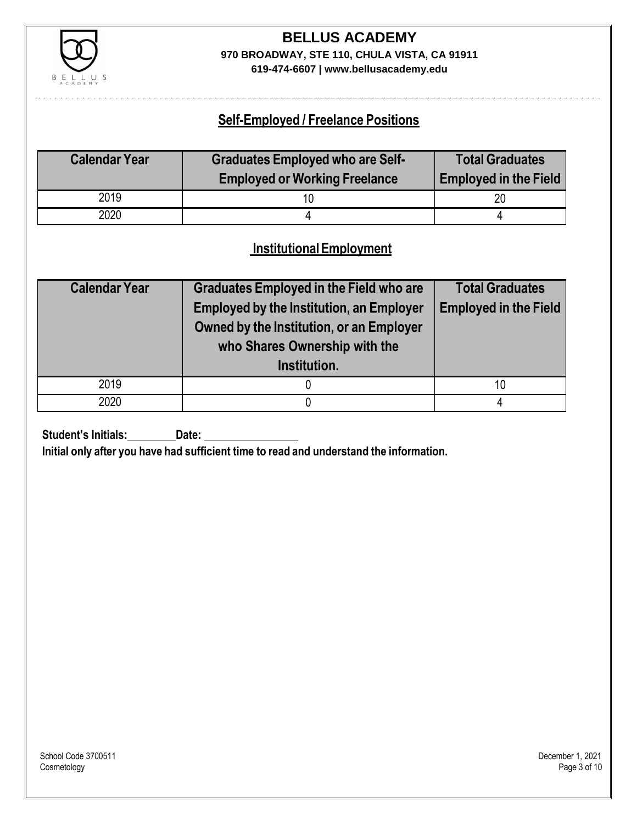

## **BELLUS ACADEMY 970 BROADWAY, STE 110, CHULA VISTA, CA 91911**

**619-474-6607 | www.bellusacademy.edu**

## **Self-Employed / Freelance Positions**

| <b>Calendar Year</b> | <b>Graduates Employed who are Self-</b><br><b>Employed or Working Freelance</b> | <b>Total Graduates</b><br><b>Employed in the Field</b> |
|----------------------|---------------------------------------------------------------------------------|--------------------------------------------------------|
| 2019                 |                                                                                 | 20                                                     |
| 2020                 |                                                                                 |                                                        |

### **InstitutionalEmployment**

| <b>Calendar Year</b> | <b>Graduates Employed in the Field who are</b><br><b>Employed by the Institution, an Employer</b><br>Owned by the Institution, or an Employer<br>who Shares Ownership with the | <b>Total Graduates</b><br><b>Employed in the Field</b> |  |
|----------------------|--------------------------------------------------------------------------------------------------------------------------------------------------------------------------------|--------------------------------------------------------|--|
|                      | Institution.                                                                                                                                                                   |                                                        |  |
| 2019                 |                                                                                                                                                                                | 10                                                     |  |
| 2020                 |                                                                                                                                                                                |                                                        |  |

**Student's Initials:** Date:

**Initial only after you have had sufficient time to read and understand the information.**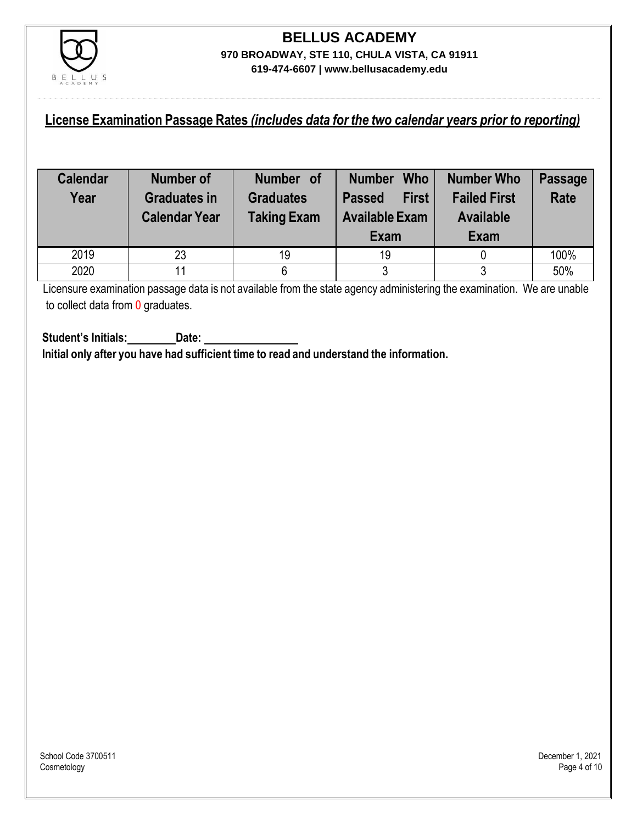

#### **License Examination Passage Rates** *(includes data for the two calendar years prior to reporting)*

| <b>Calendar</b><br>Year | Number of<br><b>Graduates in</b><br><b>Calendar Year</b> | Number of<br><b>Graduates</b><br><b>Taking Exam</b> | <b>Who</b><br><b>Number</b><br><b>First</b><br><b>Passed</b><br><b>Available Exam</b><br>Exam | <b>Number Who</b><br><b>Failed First</b><br><b>Available</b><br>Exam | <b>Passage</b><br><b>Rate</b> |
|-------------------------|----------------------------------------------------------|-----------------------------------------------------|-----------------------------------------------------------------------------------------------|----------------------------------------------------------------------|-------------------------------|
| 2019                    | 23                                                       | 19                                                  | 19                                                                                            |                                                                      | 100%                          |
| 2020                    |                                                          |                                                     | ว<br>J                                                                                        |                                                                      | 50%                           |

Licensure examination passage data is not available from the state agency administering the examination. We are unable to collect data from 0 graduates.

**Student's Initials: Date: Initial only after you have had sufficient time to read and understand the information.**

School Code 3700511 December 1, 2021<br>Cosmetology December 1, 2021 Cosmetology Page 4 of 10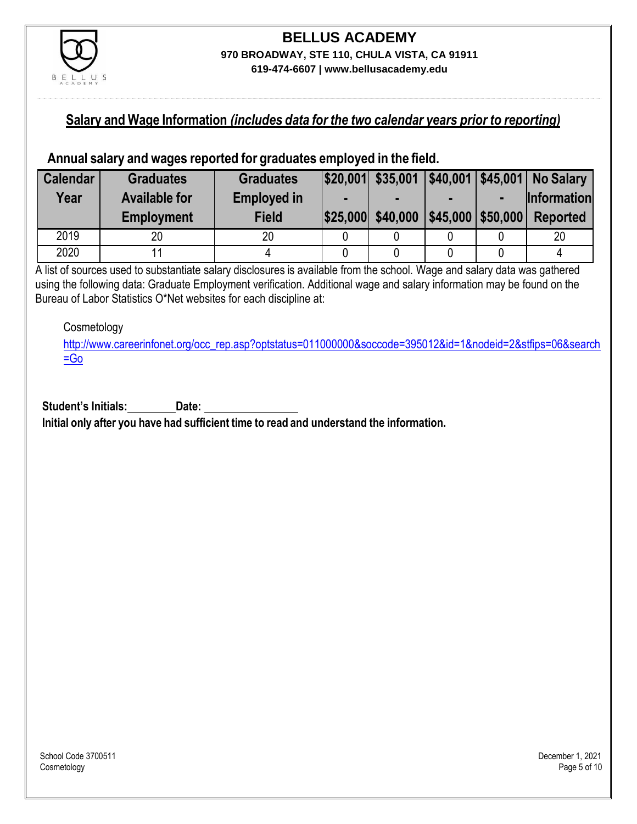

#### **Salary and Wage Information** *(includes data for the two calendar years prior to reporting)*

#### **Annual salary and wages reported for graduates employed in the field.**

| <b>Calendar</b> | <b>Graduates</b>     | <b>Graduates</b>   |                   |                                                                                                                                                                                                                               | $ $20,001 $ \$35,001 $ $40,001 $45,001 $ No Salary |
|-----------------|----------------------|--------------------|-------------------|-------------------------------------------------------------------------------------------------------------------------------------------------------------------------------------------------------------------------------|----------------------------------------------------|
| Year            | <b>Available for</b> | <b>Employed in</b> |                   |                                                                                                                                                                                                                               | <b>Information</b>                                 |
|                 | <b>Employment</b>    | <b>Field</b>       | \$25,000 \$40,000 | $ $45,000$ \s50,000 \s50,000 \end{br \text{\sigma_0 \sigma_0 \end{br \text{\sigma_0 \end{br \text{\sigma_0 \end{br \text{\sigma_0 \end{br \text{\sigma_0 \end{br \text{\sigma_0 \end{br \text{\sigma_0 \end{br \text{\sigma_0 | <b>Reported</b>                                    |
| 2019            | 20                   | 20                 |                   |                                                                                                                                                                                                                               | 20                                                 |
| 2020            |                      |                    |                   |                                                                                                                                                                                                                               |                                                    |

A list of sources used to substantiate salary disclosures is available from the school. Wage and salary data was gathered using the following data: Graduate Employment verification. Additional wage and salary information may be found on the Bureau of Labor Statistics O\*Net websites for each discipline at:

#### Cosmetology

[http://www.careerinfonet.org/occ\\_rep.asp?optstatus=011000000&soccode=395012&id=1&nodeid=2&stfips=06&search](http://www.careerinfonet.org/occ_rep.asp?optstatus=011000000&soccode=395012&id=1&nodeid=2&stfips=06&search=Go) [=Go](http://www.careerinfonet.org/occ_rep.asp?optstatus=011000000&soccode=395012&id=1&nodeid=2&stfips=06&search=Go)

**Student's Initials: Date: Initial only after you have had sufficient time to read and understand the information.**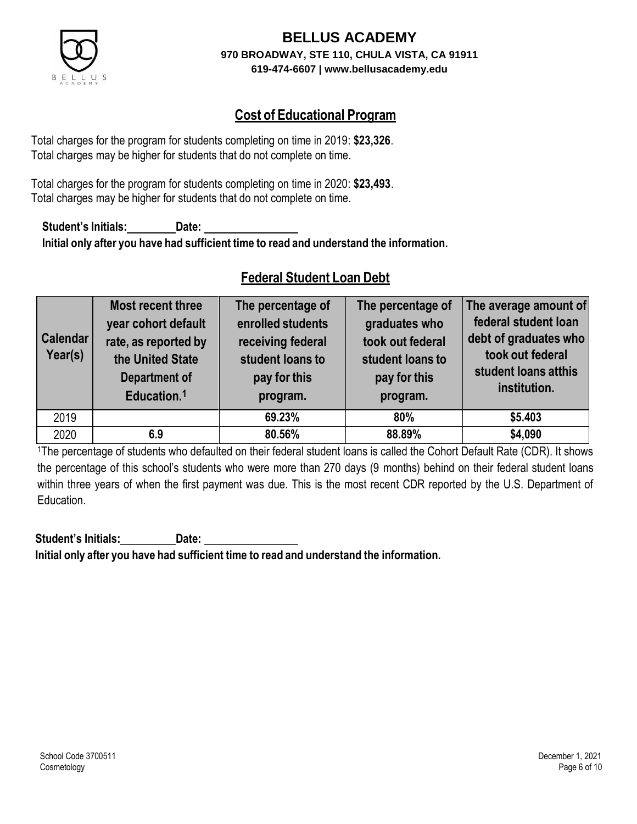

## **Cost of Educational Program**

Total charges for the program for students completing on time in 2019: **\$23,326**. Total charges may be higher for students that do not complete on time.

Total charges for the program for students completing on time in 2020: **\$23,493**. Total charges may be higher for students that do not complete on time.

**Student's Initials: Date: Initial only after you have had sufficient time to read and understand the information.**

## **Federal Student Loan Debt**

| <b>Calendar</b><br>Year(s) | Most recent three<br>year cohort default<br>rate, as reported by<br>the United State<br><b>Department of</b><br>Education. <sup>1</sup> | The percentage of<br>enrolled students<br>receiving federal<br>student loans to<br>pay for this<br>program. | The percentage of<br>graduates who<br>took out federal<br>student loans to<br>pay for this<br>program. | The average amount of<br>federal student loan<br>debt of graduates who<br>took out federal<br>student loans atthis<br>institution. |
|----------------------------|-----------------------------------------------------------------------------------------------------------------------------------------|-------------------------------------------------------------------------------------------------------------|--------------------------------------------------------------------------------------------------------|------------------------------------------------------------------------------------------------------------------------------------|
| 2019                       |                                                                                                                                         | 69.23%                                                                                                      | 80%                                                                                                    | \$5.403                                                                                                                            |
| 2020                       | 6.9                                                                                                                                     | 80.56%                                                                                                      | 88.89%                                                                                                 | \$4,090                                                                                                                            |

<sup>1</sup>The percentage of students who defaulted on their federal student loans is called the Cohort Default Rate (CDR). It shows the percentage of this school's students who were more than 270 days (9 months) behind on their federal student loans within three years of when the first payment was due. This is the most recent CDR reported by the U.S. Department of Education.

**Student's Initials: Date: Initial only after you have had sufficient time to read and understand the information.**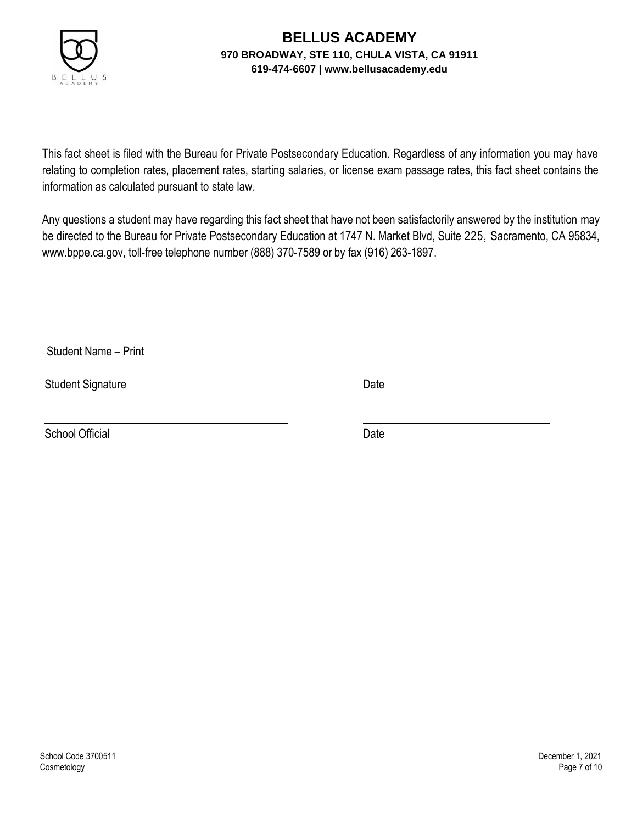

This fact sheet is filed with the Bureau for Private Postsecondary Education. Regardless of any information you may have relating to completion rates, placement rates, starting salaries, or license exam passage rates, this fact sheet contains the information as calculated pursuant to state law.

Any questions a student may have regarding this fact sheet that have not been satisfactorily answered by the institution may be directed to the Bureau for Private Postsecondary Education at 1747 N. Market Blvd, Suite 225, Sacramento, CA 95834, [www.bppe.ca.gov,](http://www.bppe.ca.gov/) toll-free telephone number (888) 370-7589 or by fax (916) 263-1897.

Student Name – Print

Student Signature Date Date

School Official Date Date Date Date Date Date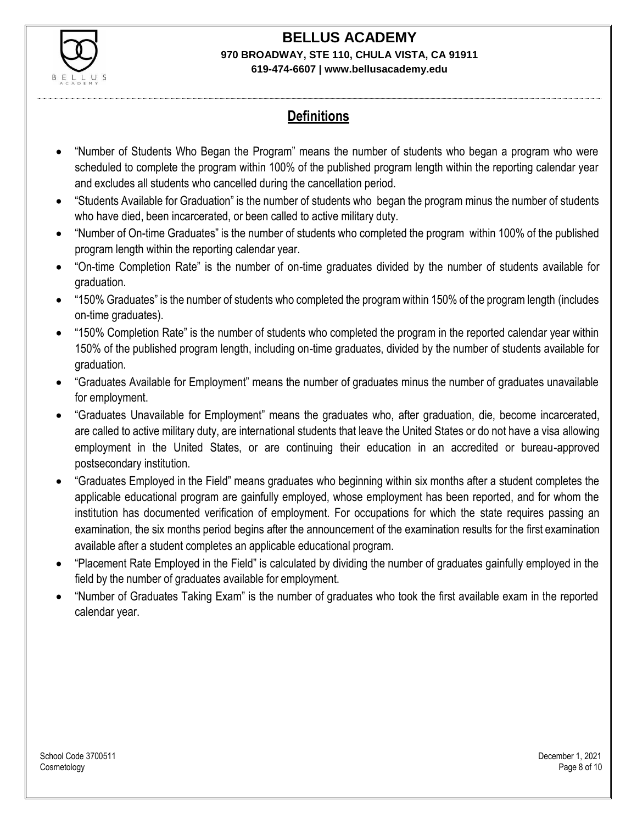

## **Definitions**

- "Number of Students Who Began the Program" means the number of students who began a program who were scheduled to complete the program within 100% of the published program length within the reporting calendar year and excludes all students who cancelled during the cancellation period.
- "Students Available for Graduation" is the number of students who began the program minus the number of students who have died, been incarcerated, or been called to active military duty.
- "Number of On-time Graduates" is the number of students who completed the program within 100% of the published program length within the reporting calendar year.
- "On-time Completion Rate" is the number of on-time graduates divided by the number of students available for graduation.
- "150% Graduates" is the number of students who completed the program within 150% of the program length (includes on-time graduates).
- "150% Completion Rate" is the number of students who completed the program in the reported calendar year within 150% of the published program length, including on-time graduates, divided by the number of students available for graduation.
- "Graduates Available for Employment" means the number of graduates minus the number of graduates unavailable for employment.
- "Graduates Unavailable for Employment" means the graduates who, after graduation, die, become incarcerated, are called to active military duty, are international students that leave the United States or do not have a visa allowing employment in the United States, or are continuing their education in an accredited or bureau-approved postsecondary institution.
- "Graduates Employed in the Field" means graduates who beginning within six months after a student completes the applicable educational program are gainfully employed, whose employment has been reported, and for whom the institution has documented verification of employment. For occupations for which the state requires passing an examination, the six months period begins after the announcement of the examination results for the first examination available after a student completes an applicable educational program.
- "Placement Rate Employed in the Field" is calculated by dividing the number of graduates gainfully employed in the field by the number of graduates available for employment.
- "Number of Graduates Taking Exam" is the number of graduates who took the first available exam in the reported calendar year.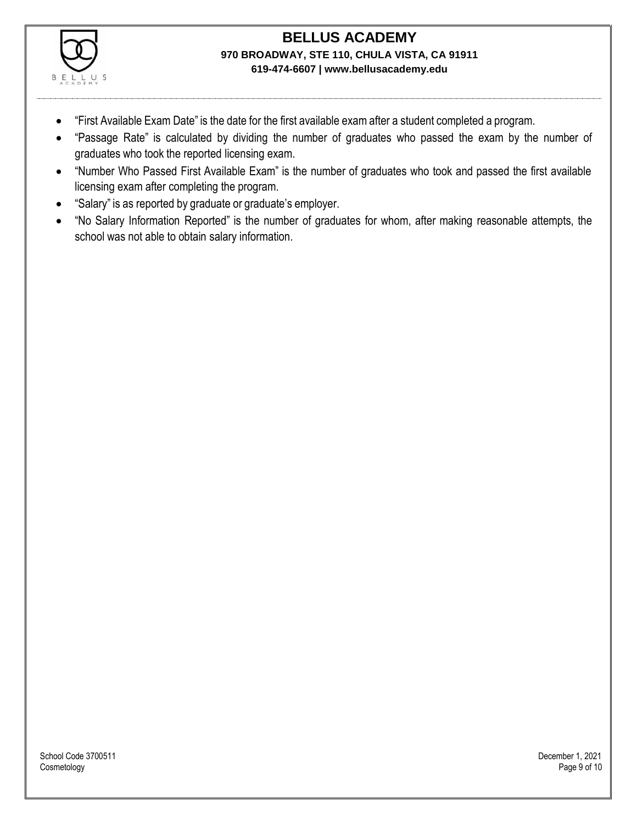

- "First Available Exam Date" is the date for the first available exam after a student completed a program.
- "Passage Rate" is calculated by dividing the number of graduates who passed the exam by the number of graduates who took the reported licensing exam.
- "Number Who Passed First Available Exam" is the number of graduates who took and passed the first available licensing exam after completing the program.
- "Salary" is as reported by graduate or graduate's employer.
- "No Salary Information Reported" is the number of graduates for whom, after making reasonable attempts, the school was not able to obtain salary information.